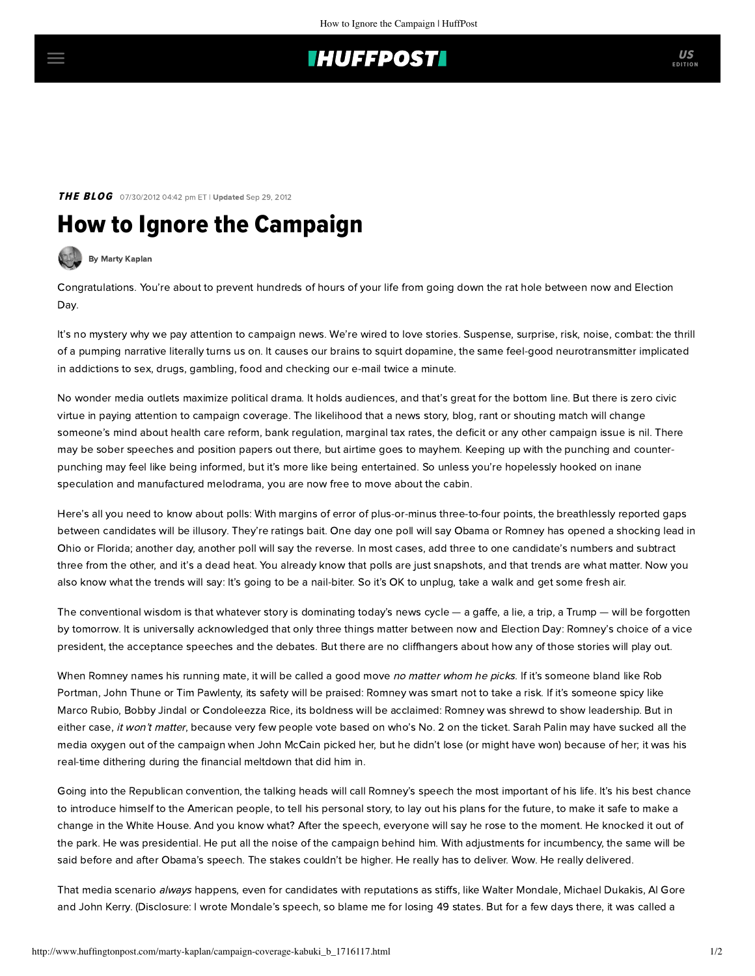## **IHUFFPOSTI**

THE BLOG 07/30/2012 04:42 pm ET | Updated Sep 29, 2012

## How to Ignore the Campaign



Congratulations. You're about to prevent hundreds of hours of your life from going down the rat hole between now and Election Day.

It's no mystery why we pay attention to campaign news. We're wired to love stories. Suspense, surprise, risk, noise, combat: the thrill of a pumping narrative literally turns us on. It causes our brains to squirt [dopamine](http://dopamineproject.org/), the same feel-good neurotransmitter implicated in addictions to sex, drugs, gambling, food and checking our e-mail twice a minute.

No wonder media outlets maximize political drama. It holds audiences, and that's great for the bottom line. But there is zero civic virtue in paying attention to campaign coverage. The likelihood that a news story, blog, rant or shouting match will change someone's mind about health care reform, bank regulation, marginal tax rates, the deficit or any other campaign issue is nil. There may be sober speeches and position papers out there, but airtime goes to mayhem. Keeping up with the punching and counterpunching may feel like being informed, but it's more like being entertained. So unless you're hopelessly hooked on inane speculation and manufactured melodrama, you are now free to move about the cabin.

Here's all you need to know about polls: With margins of error of plus-or-minus three-to-four points, the breathlessly reported gaps between candidates will be illusory. They're ratings bait. One day one poll will say Obama or Romney has opened a shocking lead in Ohio or Florida; another day, another poll will say the reverse. In most cases, add three to one candidate's numbers and subtract three from the other, and it's a dead heat. You already know that polls are just snapshots, and that trends are what matter. Now you also know what the trends will say: It's going to be a nail-biter. So it's OK to unplug, take a walk and get some fresh air.

The conventional wisdom is that whatever story is dominating today's news cycle  $-$  a gaffe, a lie, a trip, a Trump  $-$  will be forgotten by tomorrow. It is universally acknowledged that only three things matter between now and Election Day: Romney's choice of a vice president, the acceptance speeches and the debates. But there are no cliffhangers about how any of those stories will play out.

When Romney names his running mate, it will be called a good move no matter whom he picks. If it's someone bland like Rob Portman, John Thune or Tim Pawlenty, its safety will be praised: Romney was smart not to take a risk. If it's someone spicy like Marco Rubio, Bobby Jindal or Condoleezza Rice, its boldness will be acclaimed: Romney was shrewd to show leadership. But in either case, it won't matter, because very few people vote based on who's No. 2 on the ticket. Sarah Palin may have sucked all the media oxygen out of the campaign when John McCain picked her, but he didn't lose (or might have won) because of her; it was his real-time dithering during the financial meltdown that did him in.

Going into the Republican convention, the talking heads will call Romney's speech the most important of his life. It's his best chance to introduce himself to the American people, to tell his personal story, to lay out his plans for the future, to make it safe to make a change in the White House. And you know what? After the speech, everyone will say he rose to the moment. He knocked it out of the park. He was presidential. He put all the noise of the campaign behind him. With adjustments for incumbency, the same will be said before and after Obama's speech. The stakes couldn't be higher. He really has to deliver. Wow. He really delivered.

That media scenario always happens, even for candidates with reputations as stiffs, like Walter Mondale, Michael Dukakis, Al Gore and John Kerry. (Disclosure: I wrote Mondale's speech, so blame me for losing 49 states. But for a few days there, it was called a